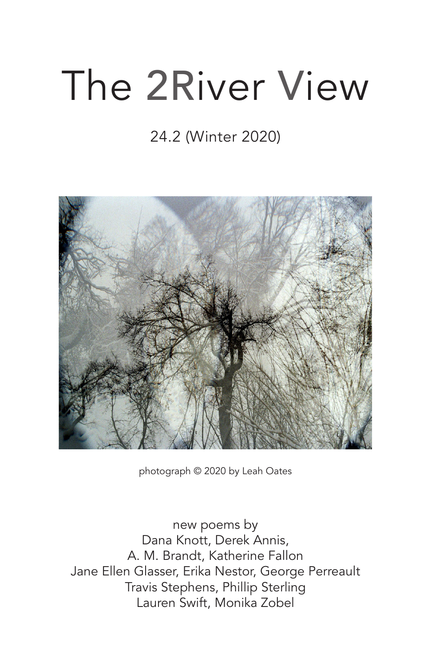# The 2River View

### 24.2 (Winter 2020)



photograph © 2020 by Leah Oates

new poems by Dana Knott, Derek Annis, A. M. Brandt, Katherine Fallon Jane Ellen Glasser, Erika Nestor, George Perreault Travis Stephens, Phillip Sterling Lauren Swift, Monika Zobel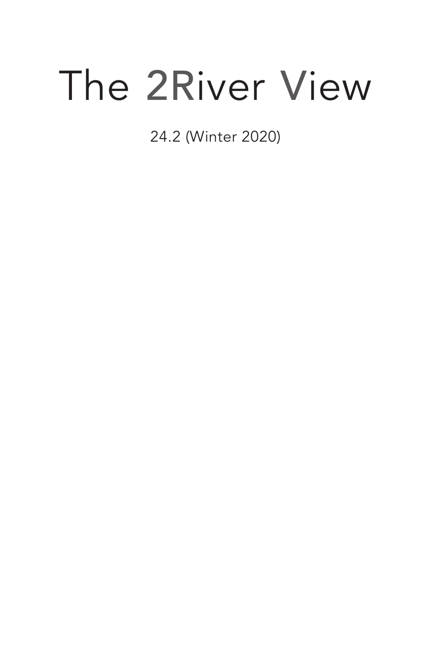## The 2River View

24.2 (Winter 2020)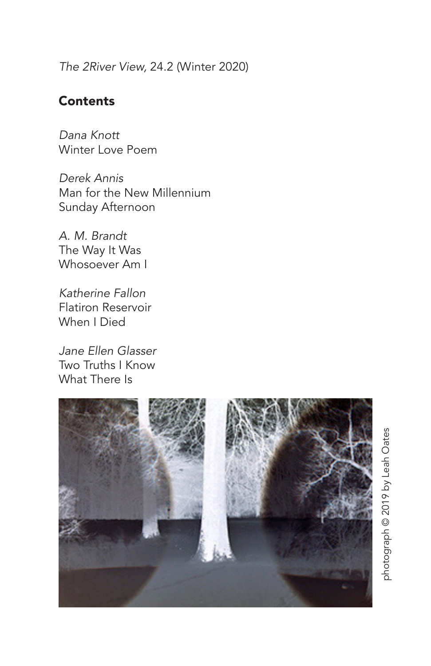*The 2River View,* 24.2 (Winter 2020)

#### **Contents**

*Dana Knott* Winter Love Poem

*Derek Annis* Man for the New Millennium Sunday Afternoon

*A. M. Brandt* The Way It Was Whosoever Am I

*Katherine Fallon* Flatiron Reservoir When I Died

*Jane Ellen Glasser* Two Truths I Know What There Is



photograph @ 2019 by Leah Oates photograph © 2019 by Leah Oates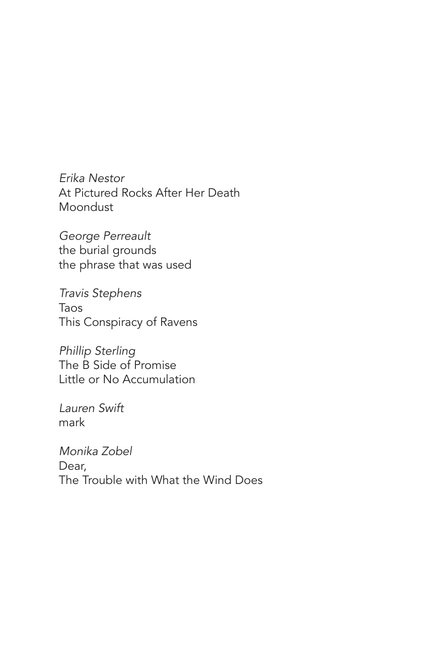*Erika Nestor* At Pictured Rocks After Her Death Moondust

*George Perreault* the burial grounds the phrase that was used

*Travis Stephens* Taos This Conspiracy of Ravens

*Phillip Sterling* The B Side of Promise Little or No Accumulation

*Lauren Swift* mark

*Mon*i*ka Zobel* Dear, The Trouble with What the Wind Does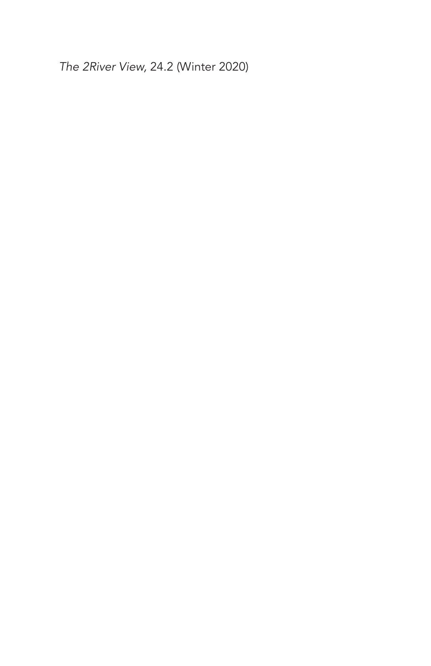*The 2River View,* 24.2 (Winter 2020)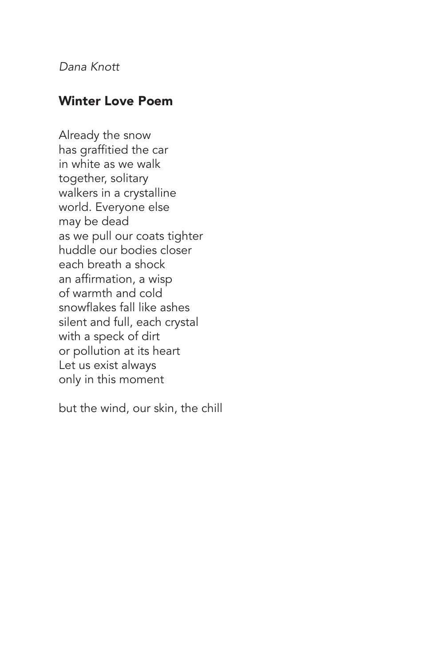*Dana Knott*

#### Winter Love Poem

Already the snow has graffitied the car in white as we walk together, solitary walkers in a crystalline world. Everyone else may be dead as we pull our coats tighter huddle our bodies closer each breath a shock an affirmation, a wisp of warmth and cold snowflakes fall like ashes silent and full, each crystal with a speck of dirt or pollution at its heart Let us exist always only in this moment

but the wind, our skin, the chill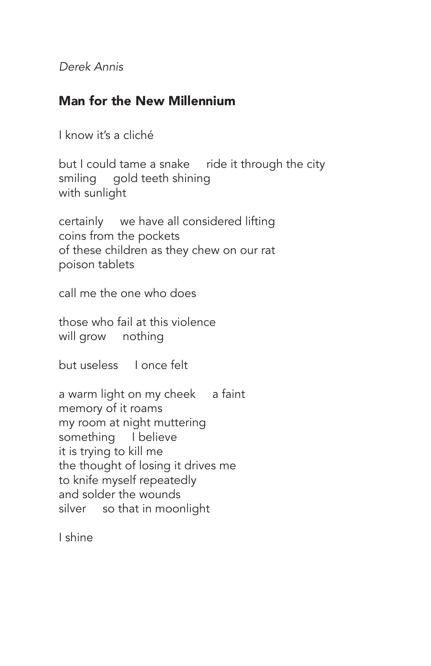*Derek Annis*

#### Man for the New Millennium

I know it's a cliché

but I could tame a snake ride it through the city smiling gold teeth shining with sunlight

certainly we have all considered lifting coins from the pockets of these children as they chew on our rat poison tablets

call me the one who does

those who fail at this violence will grow nothing

but useless I once felt

a warm light on my cheek a faint memory of it roams my room at night muttering something I believe it is trying to kill me the thought of losing it drives me to knife myself repeatedly and solder the wounds silver so that in moonlight

I shine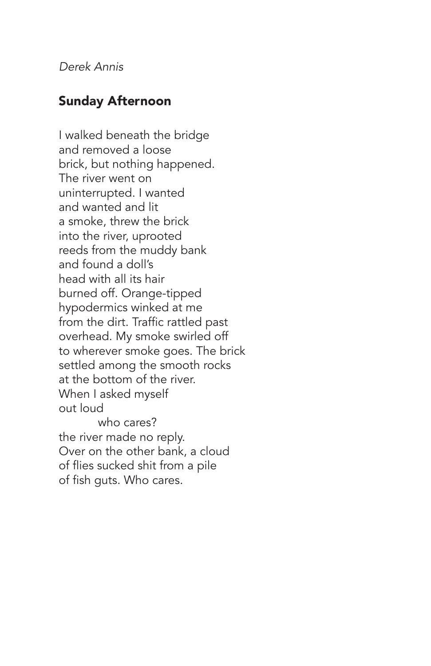*Derek Annis*

#### Sunday Afternoon

I walked beneath the bridge and removed a loose brick, but nothing happened. The river went on uninterrupted. I wanted and wanted and lit a smoke, threw the brick into the river, uprooted reeds from the muddy bank and found a doll's head with all its hair burned off. Orange-tipped hypodermics winked at me from the dirt. Traffic rattled past overhead. My smoke swirled off to wherever smoke goes. The brick settled among the smooth rocks at the bottom of the river. When I asked myself out loud who cares?

the river made no reply. Over on the other bank, a cloud of flies sucked shit from a pile of fish guts. Who cares.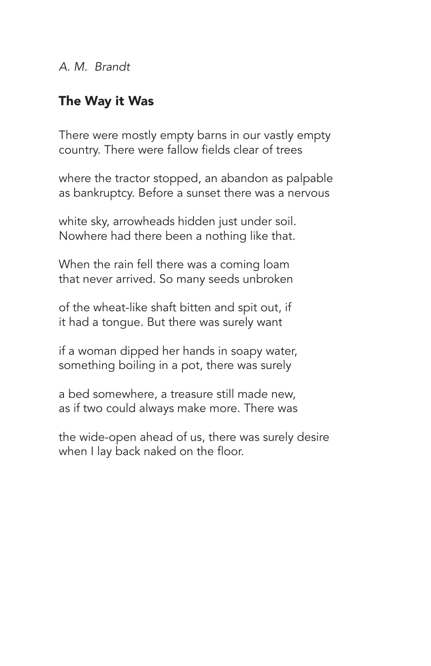*A. M. Brandt*

#### The Way it Was

There were mostly empty barns in our vastly empty country. There were fallow fields clear of trees

where the tractor stopped, an abandon as palpable as bankruptcy. Before a sunset there was a nervous

white sky, arrowheads hidden just under soil. Nowhere had there been a nothing like that.

When the rain fell there was a coming loam that never arrived. So many seeds unbroken

of the wheat-like shaft bitten and spit out, if it had a tongue. But there was surely want

if a woman dipped her hands in soapy water, something boiling in a pot, there was surely

a bed somewhere, a treasure still made new, as if two could always make more. There was

the wide-open ahead of us, there was surely desire when I lay back naked on the floor.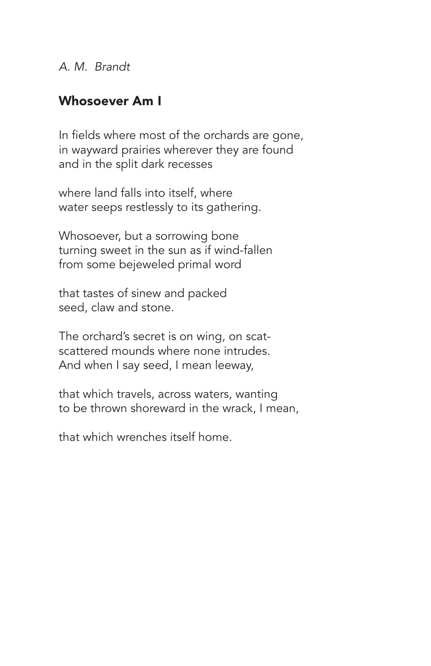*A. M. Brandt*

#### Whosoever Am I

In fields where most of the orchards are gone, in wayward prairies wherever they are found and in the split dark recesses

where land falls into itself, where water seeps restlessly to its gathering.

Whosoever, but a sorrowing bone turning sweet in the sun as if wind-fallen from some bejeweled primal word

that tastes of sinew and packed seed, claw and stone.

The orchard's secret is on wing, on scatscattered mounds where none intrudes. And when I say seed, I mean leeway,

that which travels, across waters, wanting to be thrown shoreward in the wrack, I mean,

that which wrenches itself home.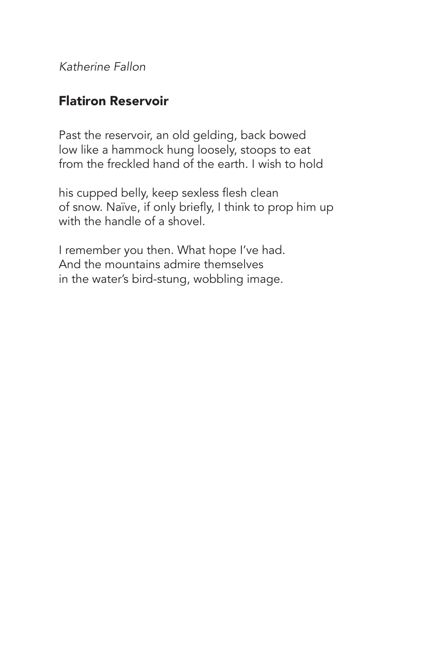*Katherine Fallon*

#### Flatiron Reservoir

Past the reservoir, an old gelding, back bowed low like a hammock hung loosely, stoops to eat from the freckled hand of the earth. I wish to hold

his cupped belly, keep sexless flesh clean of snow. Naïve, if only briefly, I think to prop him up with the handle of a shovel.

I remember you then. What hope I've had. And the mountains admire themselves in the water's bird-stung, wobbling image.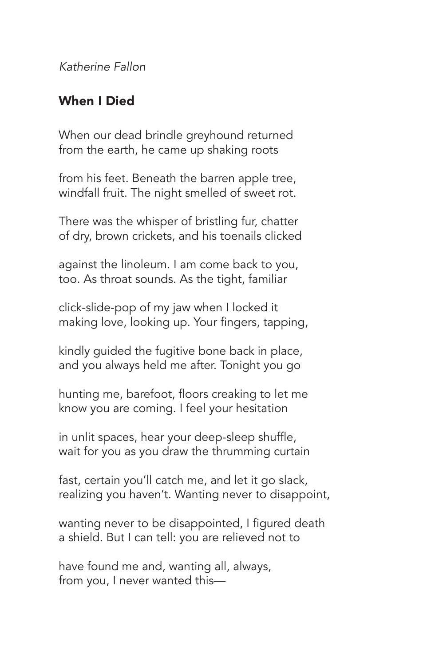*Katherine Fallon*

#### When I Died

When our dead brindle greyhound returned from the earth, he came up shaking roots

from his feet. Beneath the barren apple tree, windfall fruit. The night smelled of sweet rot.

There was the whisper of bristling fur, chatter of dry, brown crickets, and his toenails clicked

against the linoleum. I am come back to you, too. As throat sounds. As the tight, familiar

click-slide-pop of my jaw when I locked it making love, looking up. Your fingers, tapping,

kindly guided the fugitive bone back in place, and you always held me after. Tonight you go

hunting me, barefoot, floors creaking to let me know you are coming. I feel your hesitation

in unlit spaces, hear your deep-sleep shuffle, wait for you as you draw the thrumming curtain

fast, certain you'll catch me, and let it go slack, realizing you haven't. Wanting never to disappoint,

wanting never to be disappointed, I figured death a shield. But I can tell: you are relieved not to

have found me and, wanting all, always, from you, I never wanted this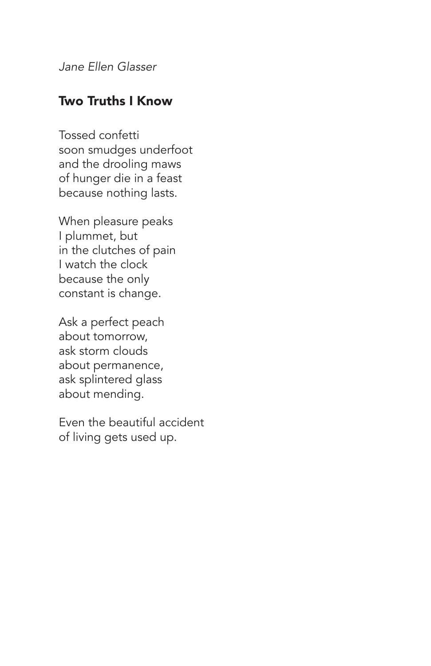*Jane Ellen Glasser*

#### Two Truths I Know

Tossed confetti soon smudges underfoot and the drooling maws of hunger die in a feast because nothing lasts.

When pleasure peaks I plummet, but in the clutches of pain I watch the clock because the only constant is change.

Ask a perfect peach about tomorrow, ask storm clouds about permanence, ask splintered glass about mending.

Even the beautiful accident of living gets used up.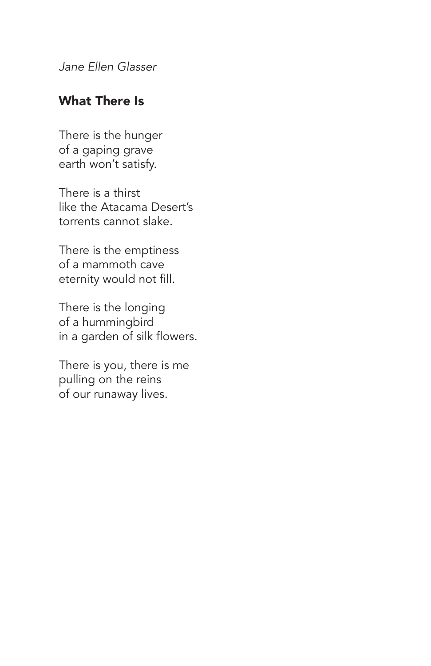*Jane Ellen Glasser*

#### What There Is

There is the hunger of a gaping grave earth won't satisfy.

There is a thirst like the Atacama Desert's torrents cannot slake.

There is the emptiness of a mammoth cave eternity would not fill.

There is the longing of a hummingbird in a garden of silk flowers.

There is you, there is me pulling on the reins of our runaway lives.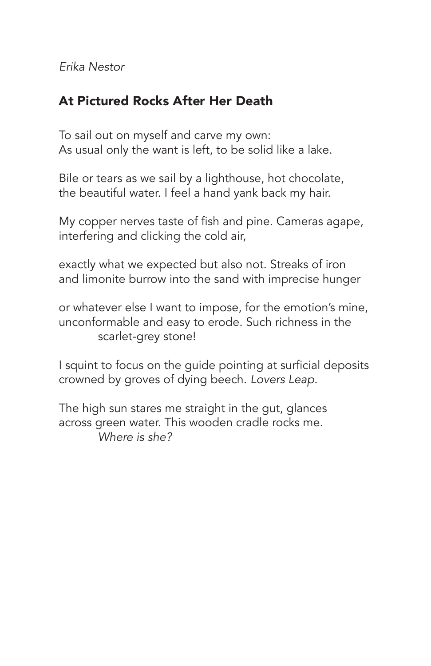*Erika Nestor*

#### At Pictured Rocks After Her Death

To sail out on myself and carve my own: As usual only the want is left, to be solid like a lake.

Bile or tears as we sail by a lighthouse, hot chocolate, the beautiful water. I feel a hand yank back my hair.

My copper nerves taste of fish and pine. Cameras agape, interfering and clicking the cold air,

exactly what we expected but also not. Streaks of iron and limonite burrow into the sand with imprecise hunger

or whatever else I want to impose, for the emotion's mine, unconformable and easy to erode. Such richness in the scarlet-grey stone!

I squint to focus on the guide pointing at surficial deposits crowned by groves of dying beech. *Lovers Leap.*

The high sun stares me straight in the gut, glances across green water. This wooden cradle rocks me. *Where is she?*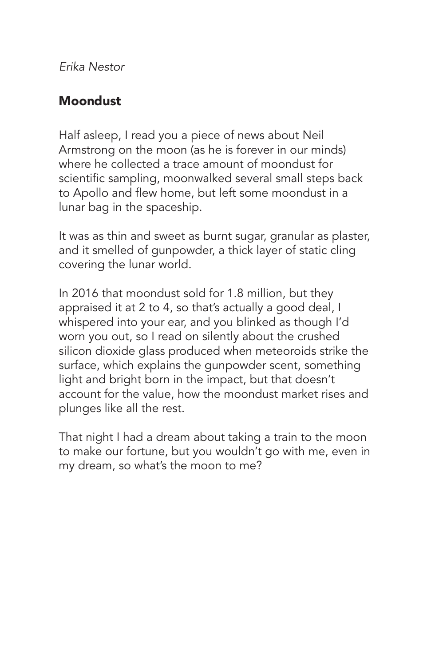*Erika Nestor*

#### Moondust

Half asleep, I read you a piece of news about Neil Armstrong on the moon (as he is forever in our minds) where he collected a trace amount of moondust for scientific sampling, moonwalked several small steps back to Apollo and flew home, but left some moondust in a lunar bag in the spaceship.

It was as thin and sweet as burnt sugar, granular as plaster, and it smelled of gunpowder, a thick layer of static cling covering the lunar world.

In 2016 that moondust sold for 1.8 million, but they appraised it at 2 to 4, so that's actually a good deal, I whispered into your ear, and you blinked as though I'd worn you out, so I read on silently about the crushed silicon dioxide glass produced when meteoroids strike the surface, which explains the gunpowder scent, something light and bright born in the impact, but that doesn't account for the value, how the moondust market rises and plunges like all the rest.

That night I had a dream about taking a train to the moon to make our fortune, but you wouldn't go with me, even in my dream, so what's the moon to me?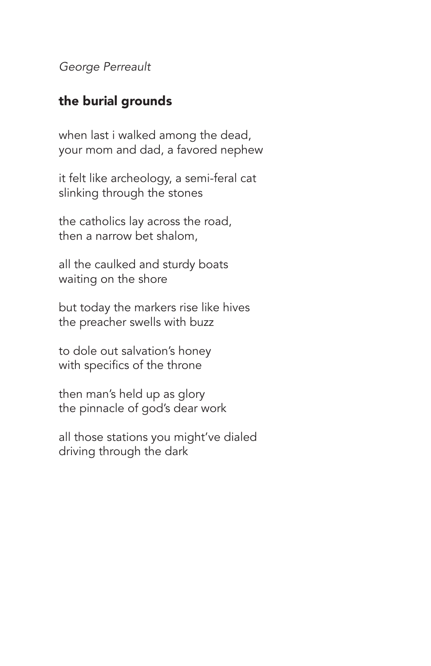*George Perreault*

#### the burial grounds

when last i walked among the dead, your mom and dad, a favored nephew

it felt like archeology, a semi-feral cat slinking through the stones

the catholics lay across the road, then a narrow bet shalom,

all the caulked and sturdy boats waiting on the shore

but today the markers rise like hives the preacher swells with buzz

to dole out salvation's honey with specifics of the throne

then man's held up as glory the pinnacle of god's dear work

all those stations you might've dialed driving through the dark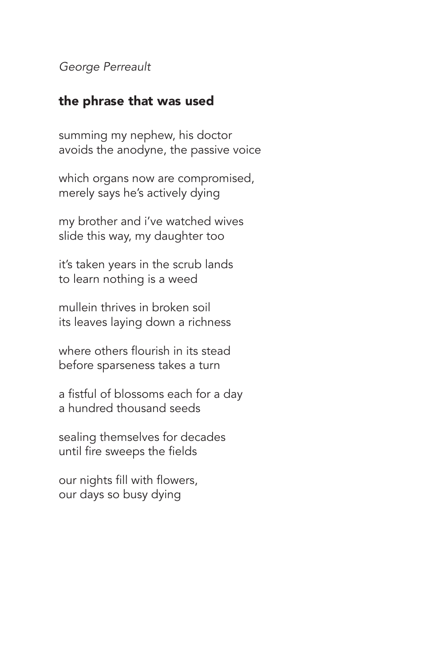*George Perreault*

#### the phrase that was used

summing my nephew, his doctor avoids the anodyne, the passive voice

which organs now are compromised, merely says he's actively dying

my brother and i've watched wives slide this way, my daughter too

it's taken years in the scrub lands to learn nothing is a weed

mullein thrives in broken soil its leaves laying down a richness

where others flourish in its stead before sparseness takes a turn

a fistful of blossoms each for a day a hundred thousand seeds

sealing themselves for decades until fire sweeps the fields

our nights fill with flowers, our days so busy dying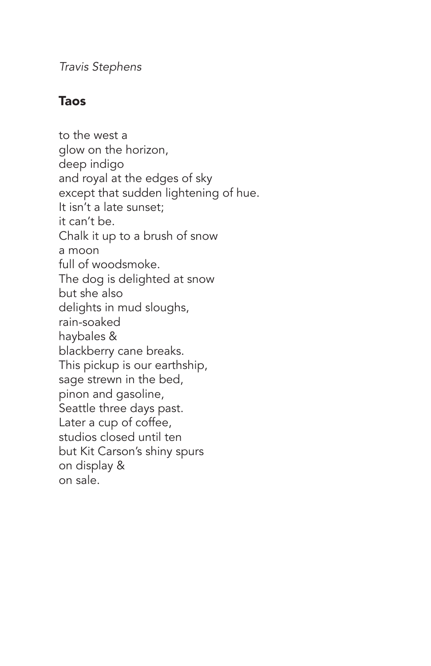*Travis Stephens*

#### Taos

to the west a glow on the horizon, deep indigo and royal at the edges of sky except that sudden lightening of hue. It isn't a late sunset; it can't be. Chalk it up to a brush of snow a moon full of woodsmoke. The dog is delighted at snow but she also delights in mud sloughs, rain-soaked haybales & blackberry cane breaks. This pickup is our earthship, sage strewn in the bed, pinon and gasoline, Seattle three days past. Later a cup of coffee, studios closed until ten but Kit Carson's shiny spurs on display & on sale.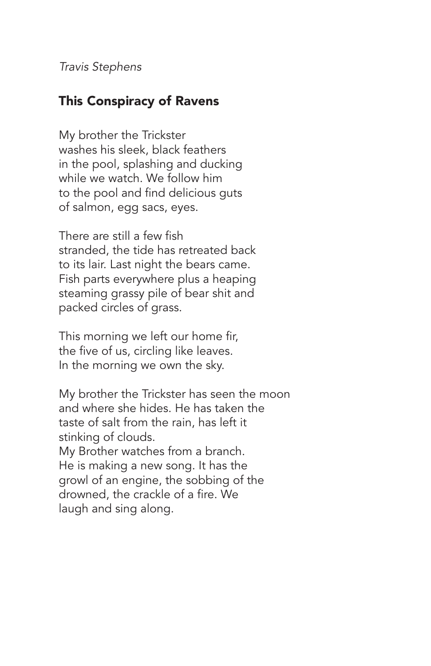*Travis Stephens*

#### This Conspiracy of Ravens

My brother the Trickster washes his sleek, black feathers in the pool, splashing and ducking while we watch. We follow him to the pool and find delicious guts of salmon, egg sacs, eyes.

There are still a few fish stranded, the tide has retreated back to its lair. Last night the bears came. Fish parts everywhere plus a heaping steaming grassy pile of bear shit and packed circles of grass.

This morning we left our home fir, the five of us, circling like leaves. In the morning we own the sky.

My brother the Trickster has seen the moon and where she hides. He has taken the taste of salt from the rain, has left it stinking of clouds. My Brother watches from a branch. He is making a new song. It has the growl of an engine, the sobbing of the drowned, the crackle of a fire. We laugh and sing along.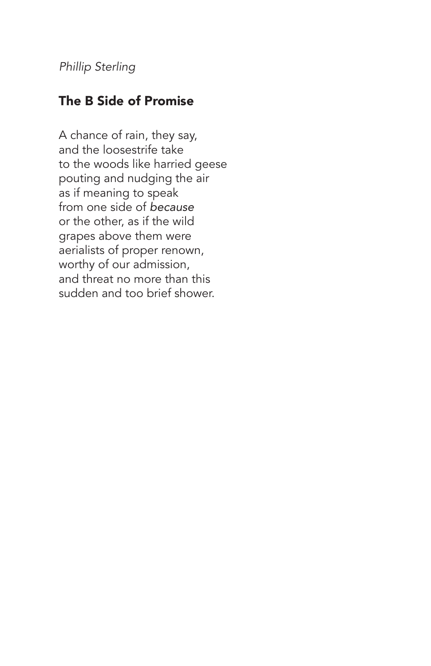*Phillip Sterling*

#### The B Side of Promise

A chance of rain, they say, and the loosestrife take to the woods like harried geese pouting and nudging the air as if meaning to speak from one side of *because* or the other, as if the wild grapes above them were aerialists of proper renown, worthy of our admission, and threat no more than this sudden and too brief shower.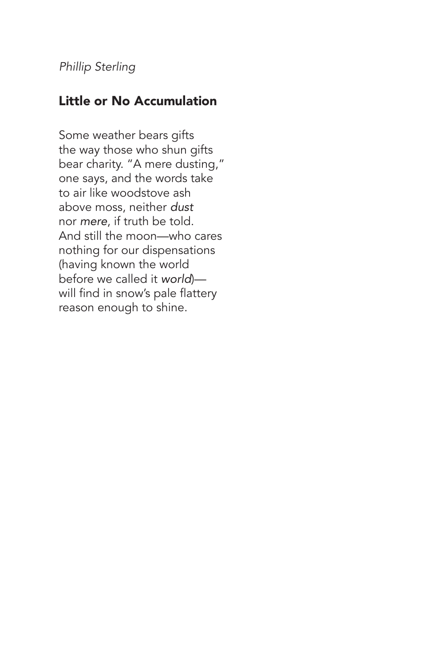*Phillip Sterling*

#### Little or No Accumulation

Some weather bears gifts the way those who shun gifts bear charity. "A mere dusting," one says, and the words take to air like woodstove ash above moss, neither *dust* nor *mere*, if truth be told. And still the moon—who cares nothing for our dispensations (having known the world before we called it *world*) will find in snow's pale flattery reason enough to shine.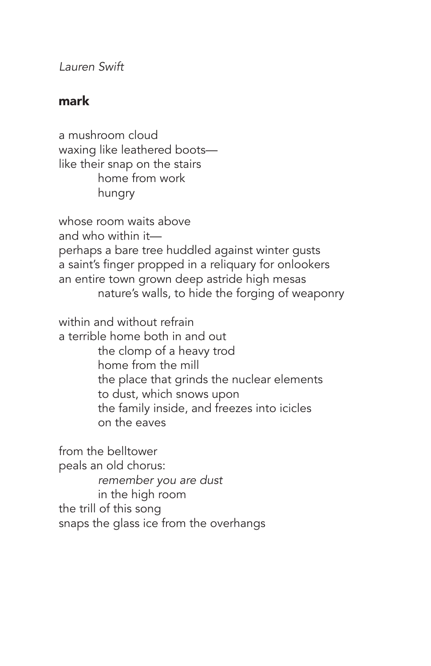*Lauren Swift*

#### mark

a mushroom cloud waxing like leathered boots like their snap on the stairs home from work hungry

whose room waits above and who within it perhaps a bare tree huddled against winter gusts a saint's finger propped in a reliquary for onlookers an entire town grown deep astride high mesas nature's walls, to hide the forging of weaponry

within and without refrain a terrible home both in and out the clomp of a heavy trod home from the mill the place that grinds the nuclear elements to dust, which snows upon the family inside, and freezes into icicles on the eaves

from the belltower peals an old chorus: *remember you are dust* in the high room the trill of this song snaps the glass ice from the overhangs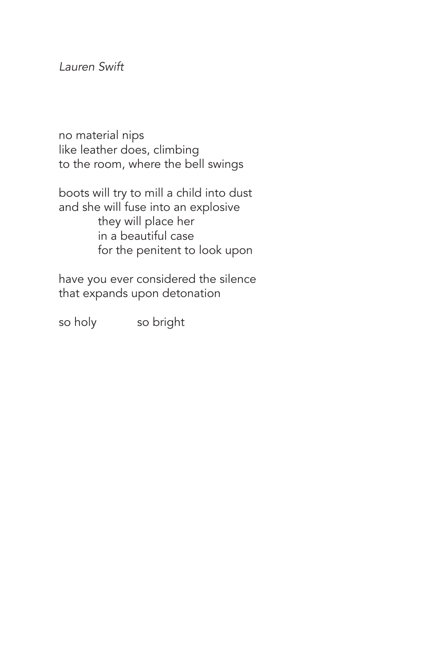*Lauren Swift*

no material nips like leather does, climbing to the room, where the bell swings

boots will try to mill a child into dust and she will fuse into an explosive they will place her in a beautiful case for the penitent to look upon

have you ever considered the silence that expands upon detonation

so holy so bright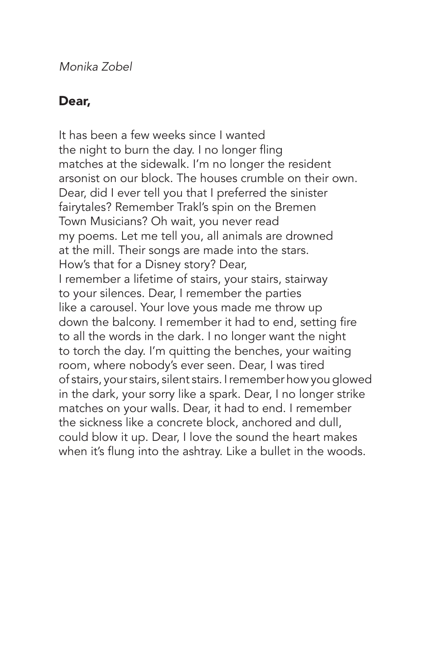#### Dear,

It has been a few weeks since I wanted the night to burn the day. I no longer fling matches at the sidewalk. I'm no longer the resident arsonist on our block. The houses crumble on their own. Dear, did I ever tell you that I preferred the sinister fairytales? Remember Trakl's spin on the Bremen Town Musicians? Oh wait, you never read my poems. Let me tell you, all animals are drowned at the mill. Their songs are made into the stars. How's that for a Disney story? Dear, I remember a lifetime of stairs, your stairs, stairway to your silences. Dear, I remember the parties like a carousel. Your love yous made me throw up down the balcony. I remember it had to end, setting fire to all the words in the dark. I no longer want the night to torch the day. I'm quitting the benches, your waiting room, where nobody's ever seen. Dear, I was tired of stairs, your stairs, silent stairs. I remember how you glowed in the dark, your sorry like a spark. Dear, I no longer strike matches on your walls. Dear, it had to end. I remember the sickness like a concrete block, anchored and dull, could blow it up. Dear, I love the sound the heart makes when it's flung into the ashtray. Like a bullet in the woods.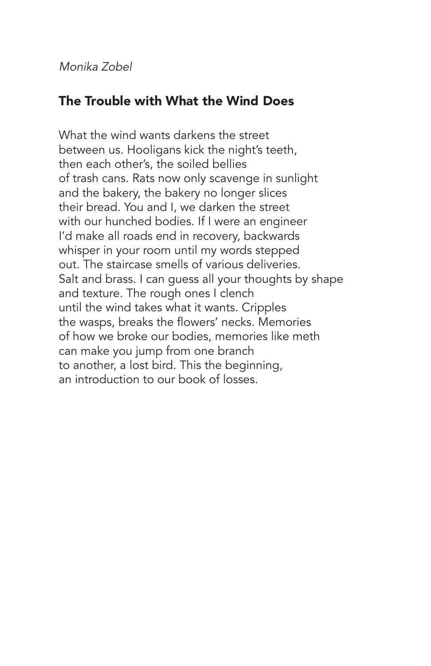#### The Trouble with What the Wind Does

What the wind wants darkens the street between us. Hooligans kick the night's teeth, then each other's, the soiled bellies of trash cans. Rats now only scavenge in sunlight and the bakery, the bakery no longer slices their bread. You and I, we darken the street with our hunched bodies. If I were an engineer I'd make all roads end in recovery, backwards whisper in your room until my words stepped out. The staircase smells of various deliveries. Salt and brass. I can guess all your thoughts by shape and texture. The rough ones I clench until the wind takes what it wants. Cripples the wasps, breaks the flowers' necks. Memories of how we broke our bodies, memories like meth can make you jump from one branch to another, a lost bird. This the beginning, an introduction to our book of losses.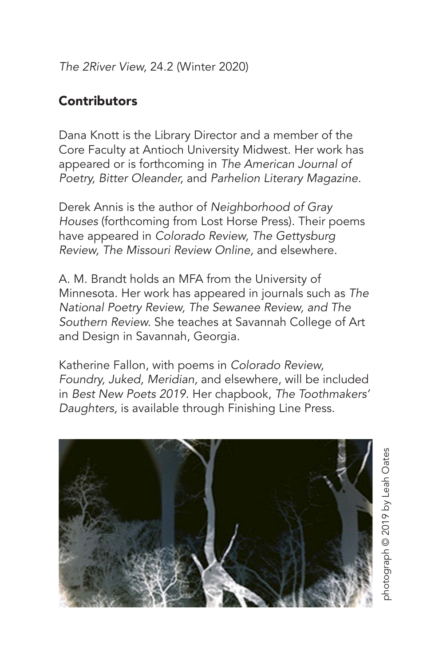*The 2River View,* 24.2 (Winter 2020)

#### **Contributors**

Dana Knott is the Library Director and a member of the Core Faculty at Antioch University Midwest. Her work has appeared or is forthcoming in *The American Journal of Poetry, Bitter Oleander,* and *Parhelion Literary Magazine.*

Derek Annis is the author of *Neighborhood of Gray Houses* (forthcoming from Lost Horse Press). Their poems have appeared in *Colorado Review, The Gettysburg Review, The Missouri Review Online,* and elsewhere.

A. M. Brandt holds an MFA from the University of Minnesota. Her work has appeared in journals such as *The National Poetry Review, The Sewanee Review, and The Southern Review.* She teaches at Savannah College of Art and Design in Savannah, Georgia.

Katherine Fallon, with poems in *Colorado Review, Foundry, Juked, Meridian,* and elsewhere, will be included in *Best New Poets 2019.* Her chapbook, *The Toothmakers' Daughters,* is available through Finishing Line Press.

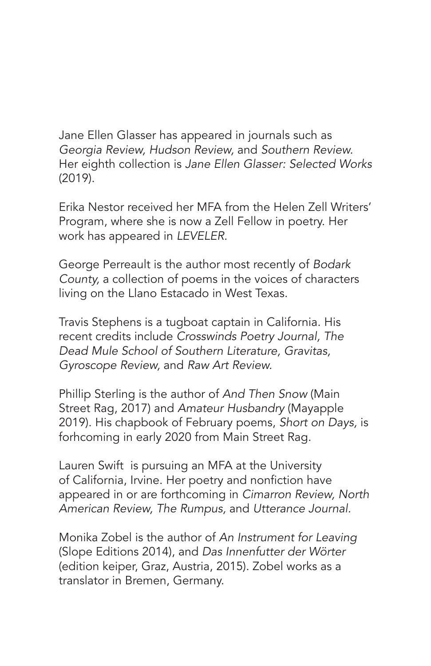Jane Ellen Glasser has appeared in journals such as *Georgia Review, Hudson Review,* and *Southern Review.*  Her eighth collection is *Jane Ellen Glasser: Selected Works*  (2019).

Erika Nestor received her MFA from the Helen Zell Writers' Program, where she is now a Zell Fellow in poetry. Her work has appeared in *LEVELER.*

George Perreault is the author most recently of *Bodark County,* a collection of poems in the voices of characters living on the Llano Estacado in West Texas.

Travis Stephens is a tugboat captain in California. His recent credits include *Crosswinds Poetry Journal, The Dead Mule School of Southern Literature, Gravitas, Gyroscope Review,* and *Raw Art Review.*

Phillip Sterling is the author of *And Then Snow* (Main Street Rag, 2017) and *Amateur Husbandry* (Mayapple 2019). His chapbook of February poems, *Short on Days,* is forhcoming in early 2020 from Main Street Rag.

Lauren Swift is pursuing an MFA at the University of California, Irvine. Her poetry and nonfiction have appeared in or are forthcoming in *Cimarron Review, North American Review, The Rumpus,* and *Utterance Journal.*

Monika Zobel is the author of *An Instrument for Leaving*  (Slope Editions 2014), and *Das Innenfutter der Wörter*  (edition keiper, Graz, Austria, 2015). Zobel works as a translator in Bremen, Germany.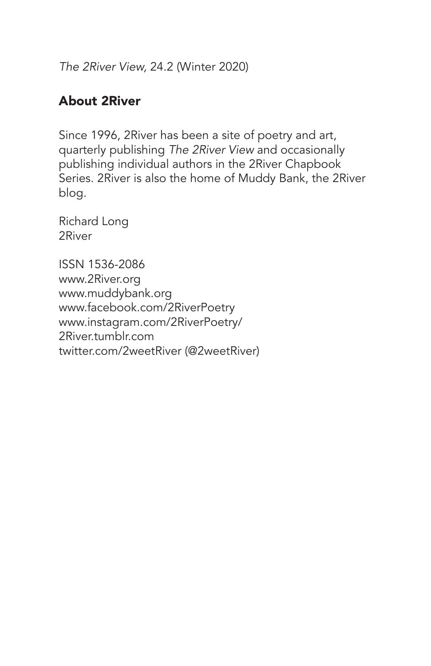*The 2River View,* 24.2 (Winter 2020)

#### About 2River

Since 1996, 2River has been a site of poetry and art, quarterly publishing *The 2River View* and occasionally publishing individual authors in the 2River Chapbook Series. 2River is also the home of Muddy Bank, the 2River blog.

Richard Long 2River

ISSN 1536-2086 www.2River.org www.muddybank.org www.facebook.com/2RiverPoetry www.instagram.com/2RiverPoetry/ 2River.tumblr.com twitter.com/2weetRiver (@2weetRiver)